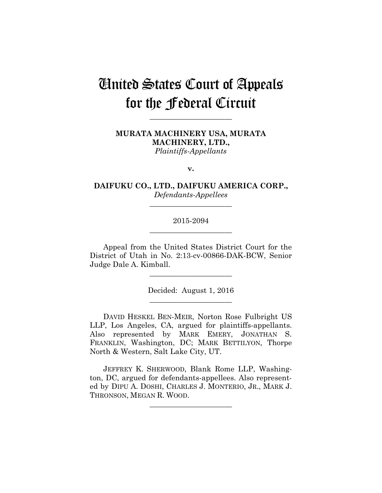# United States Court of Appeals for the Federal Circuit

**\_\_\_\_\_\_\_\_\_\_\_\_\_\_\_\_\_\_\_\_\_\_** 

**MURATA MACHINERY USA, MURATA MACHINERY, LTD.,** *Plaintiffs-Appellants*

**v.**

**DAIFUKU CO., LTD., DAIFUKU AMERICA CORP.,** *Defendants-Appellees*

**\_\_\_\_\_\_\_\_\_\_\_\_\_\_\_\_\_\_\_\_\_\_** 

# 2015-2094 **\_\_\_\_\_\_\_\_\_\_\_\_\_\_\_\_\_\_\_\_\_\_**

Appeal from the United States District Court for the District of Utah in No. 2:13-cv-00866-DAK-BCW, Senior Judge Dale A. Kimball.

**\_\_\_\_\_\_\_\_\_\_\_\_\_\_\_\_\_\_\_\_\_\_** 

Decided: August 1, 2016 **\_\_\_\_\_\_\_\_\_\_\_\_\_\_\_\_\_\_\_\_\_\_** 

DAVID HESKEL BEN-MEIR, Norton Rose Fulbright US LLP, Los Angeles, CA, argued for plaintiffs-appellants. Also represented by MARK EMERY, JONATHAN S. FRANKLIN, Washington, DC; MARK BETTILYON, Thorpe North & Western, Salt Lake City, UT.

JEFFREY K. SHERWOOD, Blank Rome LLP, Washington, DC, argued for defendants-appellees. Also represented by DIPU A. DOSHI, CHARLES J. MONTERIO, JR., MARK J. THRONSON, MEGAN R. WOOD.

**\_\_\_\_\_\_\_\_\_\_\_\_\_\_\_\_\_\_\_\_\_\_**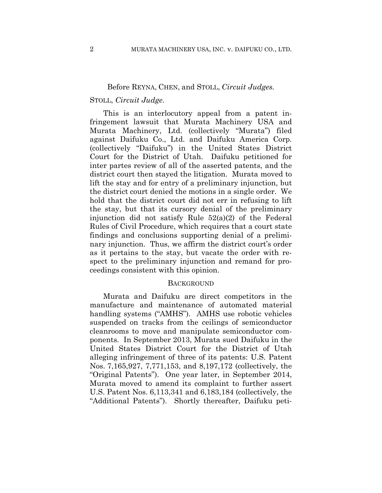## Before REYNA, CHEN, and STOLL, *Circuit Judges.*

### STOLL, *Circuit Judge*.

This is an interlocutory appeal from a patent infringement lawsuit that Murata Machinery USA and Murata Machinery, Ltd. (collectively "Murata") filed against Daifuku Co., Ltd. and Daifuku America Corp. (collectively "Daifuku") in the United States District Court for the District of Utah. Daifuku petitioned for inter partes review of all of the asserted patents, and the district court then stayed the litigation. Murata moved to lift the stay and for entry of a preliminary injunction, but the district court denied the motions in a single order. We hold that the district court did not err in refusing to lift the stay, but that its cursory denial of the preliminary injunction did not satisfy Rule 52(a)(2) of the Federal Rules of Civil Procedure, which requires that a court state findings and conclusions supporting denial of a preliminary injunction. Thus, we affirm the district court's order as it pertains to the stay, but vacate the order with respect to the preliminary injunction and remand for proceedings consistent with this opinion.

#### **BACKGROUND**

Murata and Daifuku are direct competitors in the manufacture and maintenance of automated material handling systems ("AMHS"). AMHS use robotic vehicles suspended on tracks from the ceilings of semiconductor cleanrooms to move and manipulate semiconductor components. In September 2013, Murata sued Daifuku in the United States District Court for the District of Utah alleging infringement of three of its patents: U.S. Patent Nos. 7,165,927, 7,771,153, and 8,197,172 (collectively, the "Original Patents"). One year later, in September 2014, Murata moved to amend its complaint to further assert U.S. Patent Nos. 6,113,341 and 6,183,184 (collectively, the "Additional Patents"). Shortly thereafter, Daifuku peti-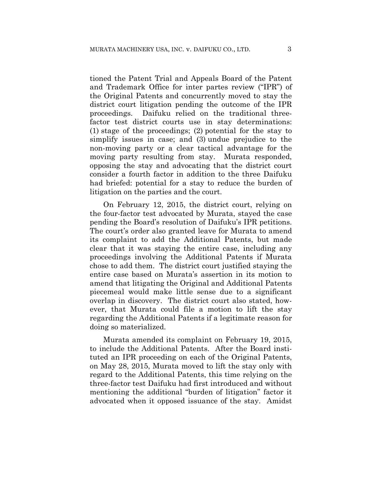tioned the Patent Trial and Appeals Board of the Patent and Trademark Office for inter partes review ("IPR") of the Original Patents and concurrently moved to stay the district court litigation pending the outcome of the IPR proceedings. Daifuku relied on the traditional threefactor test district courts use in stay determinations: (1) stage of the proceedings; (2) potential for the stay to simplify issues in case; and (3) undue prejudice to the non-moving party or a clear tactical advantage for the moving party resulting from stay. Murata responded, opposing the stay and advocating that the district court consider a fourth factor in addition to the three Daifuku had briefed: potential for a stay to reduce the burden of litigation on the parties and the court.

On February 12, 2015, the district court, relying on the four-factor test advocated by Murata, stayed the case pending the Board's resolution of Daifuku's IPR petitions. The court's order also granted leave for Murata to amend its complaint to add the Additional Patents, but made clear that it was staying the entire case, including any proceedings involving the Additional Patents if Murata chose to add them. The district court justified staying the entire case based on Murata's assertion in its motion to amend that litigating the Original and Additional Patents piecemeal would make little sense due to a significant overlap in discovery. The district court also stated, however, that Murata could file a motion to lift the stay regarding the Additional Patents if a legitimate reason for doing so materialized.

Murata amended its complaint on February 19, 2015, to include the Additional Patents. After the Board instituted an IPR proceeding on each of the Original Patents, on May 28, 2015, Murata moved to lift the stay only with regard to the Additional Patents, this time relying on the three-factor test Daifuku had first introduced and without mentioning the additional "burden of litigation" factor it advocated when it opposed issuance of the stay. Amidst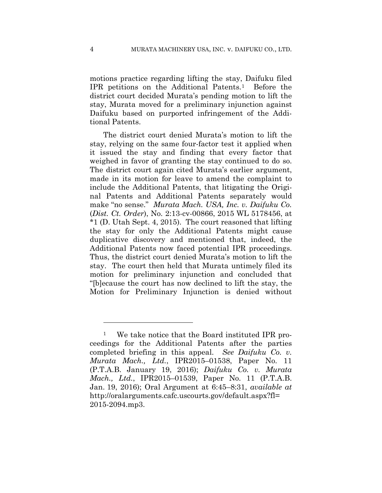motions practice regarding lifting the stay, Daifuku filed IPR petitions on the Additional Patents.1 Before the district court decided Murata's pending motion to lift the stay, Murata moved for a preliminary injunction against Daifuku based on purported infringement of the Additional Patents.

The district court denied Murata's motion to lift the stay, relying on the same four-factor test it applied when it issued the stay and finding that every factor that weighed in favor of granting the stay continued to do so. The district court again cited Murata's earlier argument, made in its motion for leave to amend the complaint to include the Additional Patents, that litigating the Original Patents and Additional Patents separately would make "no sense." *Murata Mach. USA, Inc. v. Daifuku Co.* (*Dist. Ct. Order*), No. 2:13-cv-00866, 2015 WL 5178456, at \*1 (D. Utah Sept. 4, 2015). The court reasoned that lifting the stay for only the Additional Patents might cause duplicative discovery and mentioned that, indeed, the Additional Patents now faced potential IPR proceedings. Thus, the district court denied Murata's motion to lift the stay. The court then held that Murata untimely filed its motion for preliminary injunction and concluded that "[b]ecause the court has now declined to lift the stay, the Motion for Preliminary Injunction is denied without

1

<sup>1</sup> We take notice that the Board instituted IPR proceedings for the Additional Patents after the parties completed briefing in this appeal. *See Daifuku Co. v. Murata Mach., Ltd.*, IPR2015–01538, Paper No. 11 (P.T.A.B. January 19, 2016); *Daifuku Co. v. Murata Mach., Ltd.*, IPR2015–01539, Paper No. 11 (P.T.A.B. Jan. 19, 2016); Oral Argument at 6:45–8:31, *available at* http://oralarguments.cafc.uscourts.gov/default.aspx?fl= 2015-2094.mp3.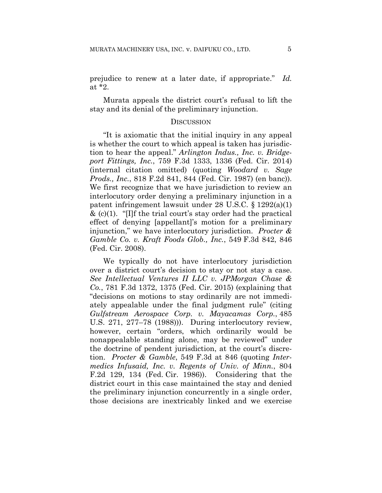prejudice to renew at a later date, if appropriate." *Id.* at \*2.

Murata appeals the district court's refusal to lift the stay and its denial of the preliminary injunction.

#### **DISCUSSION**

"It is axiomatic that the initial inquiry in any appeal is whether the court to which appeal is taken has jurisdiction to hear the appeal." *Arlington Indus., Inc. v. Bridgeport Fittings, Inc.*, 759 F.3d 1333, 1336 (Fed. Cir. 2014) (internal citation omitted) (quoting *Woodard v. Sage Prods., Inc.*, 818 F.2d 841, 844 (Fed. Cir. 1987) (en banc)). We first recognize that we have jurisdiction to review an interlocutory order denying a preliminary injunction in a patent infringement lawsuit under 28 U.S.C. § 1292(a)(1)  $\&$  (c)(1). "[I]f the trial court's stay order had the practical effect of denying [appellant]'s motion for a preliminary injunction," we have interlocutory jurisdiction. *Procter & Gamble Co. v. Kraft Foods Glob., Inc.*, 549 F.3d 842, 846 (Fed. Cir. 2008).

We typically do not have interlocutory jurisdiction over a district court's decision to stay or not stay a case. *See Intellectual Ventures II LLC v. JPMorgan Chase & Co.*, 781 F.3d 1372, 1375 (Fed. Cir. 2015) (explaining that "decisions on motions to stay ordinarily are not immediately appealable under the final judgment rule" (citing *Gulfstream Aerospace Corp. v. Mayacamas Corp.*, 485 U.S. 271, 277–78 (1988))). During interlocutory review, however, certain "orders, which ordinarily would be nonappealable standing alone, may be reviewed" under the doctrine of pendent jurisdiction, at the court's discretion. *Procter & Gamble*, 549 F.3d at 846 (quoting *Intermedics Infusaid, Inc. v. Regents of Univ. of Minn.*, 804 F.2d 129, 134 (Fed. Cir. 1986)). Considering that the district court in this case maintained the stay and denied the preliminary injunction concurrently in a single order, those decisions are inextricably linked and we exercise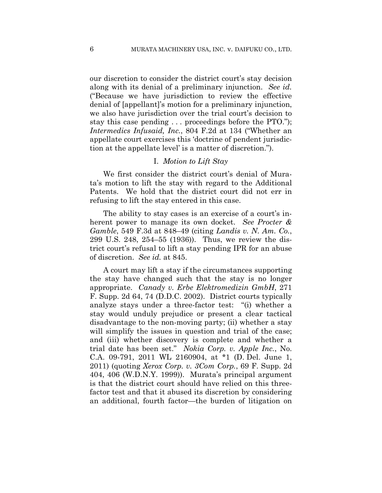our discretion to consider the district court's stay decision along with its denial of a preliminary injunction. *See id.* ("Because we have jurisdiction to review the effective denial of [appellant]'s motion for a preliminary injunction, we also have jurisdiction over the trial court's decision to stay this case pending . . . proceedings before the PTO."); *Intermedics Infusaid, Inc.*, 804 F.2d at 134 ("Whether an appellate court exercises this 'doctrine of pendent jurisdiction at the appellate level' is a matter of discretion.").

#### I. *Motion to Lift Stay*

We first consider the district court's denial of Murata's motion to lift the stay with regard to the Additional Patents. We hold that the district court did not err in refusing to lift the stay entered in this case.

The ability to stay cases is an exercise of a court's inherent power to manage its own docket. *See Procter & Gamble*, 549 F.3d at 848–49 (citing *Landis v. N. Am. Co.*, 299 U.S. 248, 254–55 (1936)). Thus, we review the district court's refusal to lift a stay pending IPR for an abuse of discretion. *See id.* at 845.

A court may lift a stay if the circumstances supporting the stay have changed such that the stay is no longer appropriate. *Canady v. Erbe Elektromedizin GmbH*, 271 F. Supp. 2d 64, 74 (D.D.C. 2002). District courts typically analyze stays under a three-factor test: "(i) whether a stay would unduly prejudice or present a clear tactical disadvantage to the non-moving party; (ii) whether a stay will simplify the issues in question and trial of the case; and (iii) whether discovery is complete and whether a trial date has been set." *Nokia Corp. v. Apple Inc.*, No. C.A. 09-791, 2011 WL 2160904, at \*1 (D. Del. June 1, 2011) (quoting *Xerox Corp. v. 3Com Corp.*, 69 F. Supp. 2d 404, 406 (W.D.N.Y. 1999)). Murata's principal argument is that the district court should have relied on this threefactor test and that it abused its discretion by considering an additional, fourth factor—the burden of litigation on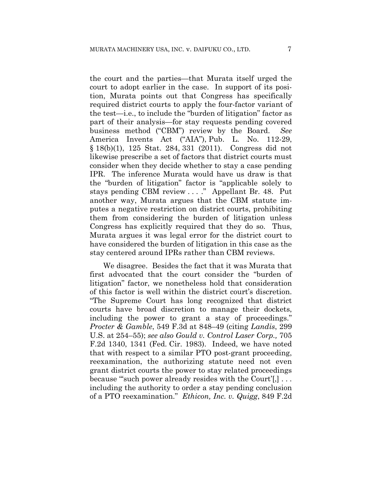the court and the parties—that Murata itself urged the court to adopt earlier in the case. In support of its position, Murata points out that Congress has specifically required district courts to apply the four-factor variant of the test—i.e., to include the "burden of litigation" factor as part of their analysis—for stay requests pending covered business method ("CBM") review by the Board. *See*  America Invents Act ("AIA"), Pub. L. No. 112-29, § 18(b)(1), 125 Stat. 284, 331 (2011). Congress did not likewise prescribe a set of factors that district courts must consider when they decide whether to stay a case pending IPR. The inference Murata would have us draw is that the "burden of litigation" factor is "applicable solely to stays pending CBM review . . . ." Appellant Br. 48. Put another way, Murata argues that the CBM statute imputes a negative restriction on district courts, prohibiting them from considering the burden of litigation unless Congress has explicitly required that they do so. Thus, Murata argues it was legal error for the district court to have considered the burden of litigation in this case as the stay centered around IPRs rather than CBM reviews.

We disagree. Besides the fact that it was Murata that first advocated that the court consider the "burden of litigation" factor, we nonetheless hold that consideration of this factor is well within the district court's discretion. "The Supreme Court has long recognized that district courts have broad discretion to manage their dockets, including the power to grant a stay of proceedings." *Procter & Gamble*, 549 F.3d at 848–49 (citing *Landis*, 299 U.S. at 254–55); *see also Gould v. Control Laser Corp.,* 705 F.2d 1340, 1341 (Fed. Cir. 1983). Indeed, we have noted that with respect to a similar PTO post-grant proceeding, reexamination, the authorizing statute need not even grant district courts the power to stay related proceedings because "'such power already resides with the Court'[,] . . . including the authority to order a stay pending conclusion of a PTO reexamination." *Ethicon, Inc. v. Quigg*, 849 F.2d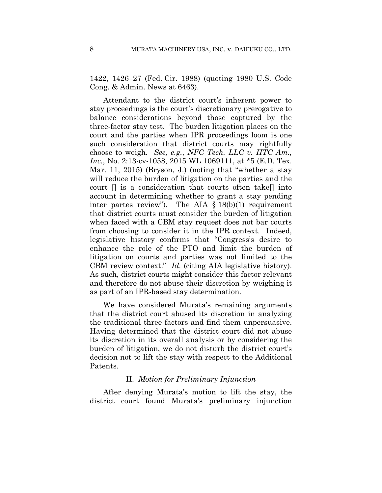1422, 1426–27 (Fed. Cir. 1988) (quoting 1980 U.S. Code Cong. & Admin. News at 6463).

Attendant to the district court's inherent power to stay proceedings is the court's discretionary prerogative to balance considerations beyond those captured by the three-factor stay test. The burden litigation places on the court and the parties when IPR proceedings loom is one such consideration that district courts may rightfully choose to weigh. *See, e.g.*, *NFC Tech. LLC v. HTC Am., Inc.*, No. 2:13-cv-1058, 2015 WL 1069111, at \*5 (E.D. Tex. Mar. 11, 2015) (Bryson, J.) (noting that "whether a stay will reduce the burden of litigation on the parties and the court [] is a consideration that courts often take[] into account in determining whether to grant a stay pending inter partes review"). The AIA  $\S 18(b)(1)$  requirement that district courts must consider the burden of litigation when faced with a CBM stay request does not bar courts from choosing to consider it in the IPR context. Indeed, legislative history confirms that "Congress's desire to enhance the role of the PTO and limit the burden of litigation on courts and parties was not limited to the CBM review context." *Id.* (citing AIA legislative history). As such, district courts might consider this factor relevant and therefore do not abuse their discretion by weighing it as part of an IPR-based stay determination.

We have considered Murata's remaining arguments that the district court abused its discretion in analyzing the traditional three factors and find them unpersuasive. Having determined that the district court did not abuse its discretion in its overall analysis or by considering the burden of litigation, we do not disturb the district court's decision not to lift the stay with respect to the Additional Patents.

#### II. *Motion for Preliminary Injunction*

After denying Murata's motion to lift the stay, the district court found Murata's preliminary injunction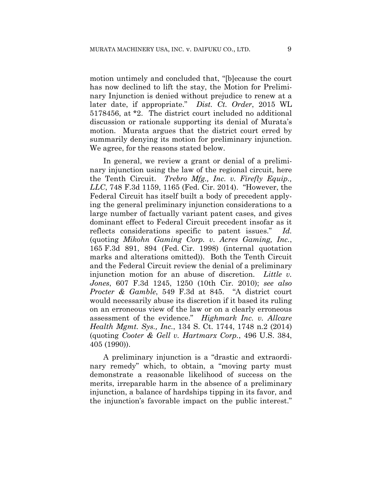motion untimely and concluded that, "[b]ecause the court has now declined to lift the stay, the Motion for Preliminary Injunction is denied without prejudice to renew at a later date, if appropriate." *Dist. Ct. Order*, 2015 WL 5178456, at \*2. The district court included no additional discussion or rationale supporting its denial of Murata's motion. Murata argues that the district court erred by summarily denying its motion for preliminary injunction. We agree, for the reasons stated below.

In general, we review a grant or denial of a preliminary injunction using the law of the regional circuit, here the Tenth Circuit. *Trebro Mfg., Inc. v. Firefly Equip., LLC*, 748 F.3d 1159, 1165 (Fed. Cir. 2014). "However, the Federal Circuit has itself built a body of precedent applying the general preliminary injunction considerations to a large number of factually variant patent cases, and gives dominant effect to Federal Circuit precedent insofar as it reflects considerations specific to patent issues." *Id.*  (quoting *Mikohn Gaming Corp. v. Acres Gaming, Inc.*, 165 F.3d 891, 894 (Fed. Cir. 1998) (internal quotation marks and alterations omitted)). Both the Tenth Circuit and the Federal Circuit review the denial of a preliminary injunction motion for an abuse of discretion. *Little v. Jones*, 607 F.3d 1245, 1250 (10th Cir. 2010); *see also Procter & Gamble*, 549 F.3d at 845. "A district court would necessarily abuse its discretion if it based its ruling on an erroneous view of the law or on a clearly erroneous assessment of the evidence." *Highmark Inc. v. Allcare Health Mgmt. Sys., Inc.*, 134 S. Ct. 1744, 1748 n.2 (2014) (quoting *Cooter & Gell v. Hartmarx Corp.*, 496 U.S. 384, 405 (1990)).

A preliminary injunction is a "drastic and extraordinary remedy" which, to obtain, a "moving party must demonstrate a reasonable likelihood of success on the merits, irreparable harm in the absence of a preliminary injunction, a balance of hardships tipping in its favor, and the injunction's favorable impact on the public interest."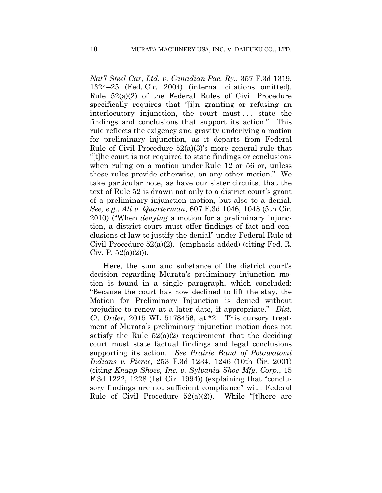*Nat'l Steel Car, Ltd. v. Canadian Pac. Ry.*, 357 F.3d 1319, 1324–25 (Fed. Cir. 2004) (internal citations omitted). Rule 52(a)(2) of the Federal Rules of Civil Procedure specifically requires that "[i]n granting or refusing an interlocutory injunction, the court must . . . state the findings and conclusions that support its action." This rule reflects the exigency and gravity underlying a motion for preliminary injunction, as it departs from Federal Rule of Civil Procedure 52(a)(3)'s more general rule that "[t]he court is not required to state findings or conclusions when ruling on a motion under Rule 12 or 56 or, unless these rules provide otherwise, on any other motion." We take particular note, as have our sister circuits, that the text of Rule 52 is drawn not only to a district court's grant of a preliminary injunction motion, but also to a denial. *See, e.g.*, *Ali v. Quarterman*, 607 F.3d 1046, 1048 (5th Cir. 2010) ("When *denying* a motion for a preliminary injunction, a district court must offer findings of fact and conclusions of law to justify the denial" under Federal Rule of Civil Procedure 52(a)(2). (emphasis added) (citing Fed. R. Civ. P.  $52(a)(2)$ ).

Here, the sum and substance of the district court's decision regarding Murata's preliminary injunction motion is found in a single paragraph, which concluded: "Because the court has now declined to lift the stay, the Motion for Preliminary Injunction is denied without prejudice to renew at a later date, if appropriate." *Dist. Ct. Order*, 2015 WL 5178456, at \*2. This cursory treatment of Murata's preliminary injunction motion does not satisfy the Rule  $52(a)(2)$  requirement that the deciding court must state factual findings and legal conclusions supporting its action. *See Prairie Band of Potawatomi Indians v. Pierce*, 253 F.3d 1234, 1246 (10th Cir. 2001) (citing *Knapp Shoes, Inc. v. Sylvania Shoe Mfg. Corp.*, 15 F.3d 1222, 1228 (1st Cir. 1994)) (explaining that "conclusory findings are not sufficient compliance" with Federal Rule of Civil Procedure  $52(a)(2)$ ). While "[t]here are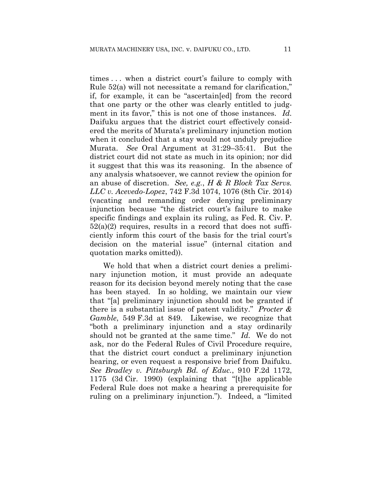times . . . when a district court's failure to comply with Rule 52(a) will not necessitate a remand for clarification," if, for example, it can be "ascertain[ed] from the record that one party or the other was clearly entitled to judgment in its favor," this is not one of those instances. *Id.*  Daifuku argues that the district court effectively considered the merits of Murata's preliminary injunction motion when it concluded that a stay would not unduly prejudice Murata. *See* Oral Argument at 31:29–35:41. But the district court did not state as much in its opinion; nor did it suggest that this was its reasoning. In the absence of any analysis whatsoever, we cannot review the opinion for an abuse of discretion. *See, e.g.*, *H & R Block Tax Servs. LLC v. Acevedo-Lopez*, 742 F.3d 1074, 1076 (8th Cir. 2014) (vacating and remanding order denying preliminary injunction because "the district court's failure to make specific findings and explain its ruling, as Fed. R. Civ. P.  $52(a)(2)$  requires, results in a record that does not sufficiently inform this court of the basis for the trial court's decision on the material issue" (internal citation and quotation marks omitted)).

We hold that when a district court denies a preliminary injunction motion, it must provide an adequate reason for its decision beyond merely noting that the case has been stayed. In so holding, we maintain our view that "[a] preliminary injunction should not be granted if there is a substantial issue of patent validity." *Procter & Gamble*, 549 F.3d at 849. Likewise, we recognize that "both a preliminary injunction and a stay ordinarily should not be granted at the same time." *Id.* We do not ask, nor do the Federal Rules of Civil Procedure require, that the district court conduct a preliminary injunction hearing, or even request a responsive brief from Daifuku. *See Bradley v. Pittsburgh Bd. of Educ.*, 910 F.2d 1172, 1175 (3d Cir. 1990) (explaining that "[t]he applicable Federal Rule does not make a hearing a prerequisite for ruling on a preliminary injunction."). Indeed, a "limited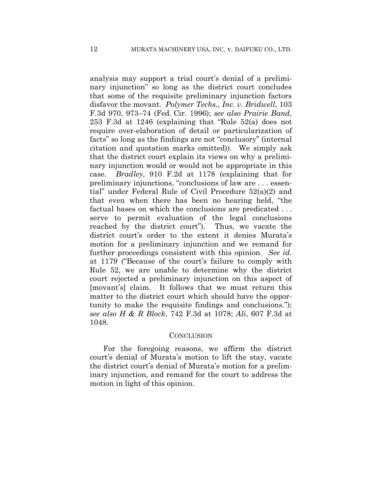analysis may support a trial court's denial of a preliminary injunction" so long as the district court concludes that some of the requisite preliminary injunction factors disfavor the movant. *Polymer Techs., Inc. v. Bridwell*, 103 F.3d 970, 973–74 (Fed. Cir. 1996); *see also Prairie Band*, 253 F.3d at 1246 (explaining that "Rule 52(a) does not require over-elaboration of detail or particularization of facts" so long as the findings are not "conclusory" (internal citation and quotation marks omitted)). We simply ask that the district court explain its views on why a preliminary injunction would or would not be appropriate in this case. *Bradley*, 910 F.2d at 1178 (explaining that for preliminary injunctions, "conclusions of law are . . . essential" under Federal Rule of Civil Procedure 52(a)(2) and that even when there has been no hearing held, "the factual bases on which the conclusions are predicated . . . serve to permit evaluation of the legal conclusions reached by the district court"). Thus, we vacate the district court's order to the extent it denies Murata's motion for a preliminary injunction and we remand for further proceedings consistent with this opinion. *See id.* at 1179 ("Because of the court's failure to comply with Rule 52, we are unable to determine why the district court rejected a preliminary injunction on this aspect of [movant's] claim. It follows that we must return this matter to the district court which should have the opportunity to make the requisite findings and conclusions."); *see also H & R Block*, 742 F.3d at 1078; *Ali*, 607 F.3d at 1048.

#### **CONCLUSION**

For the foregoing reasons, we affirm the district court's denial of Murata's motion to lift the stay, vacate the district court's denial of Murata's motion for a preliminary injunction, and remand for the court to address the motion in light of this opinion.